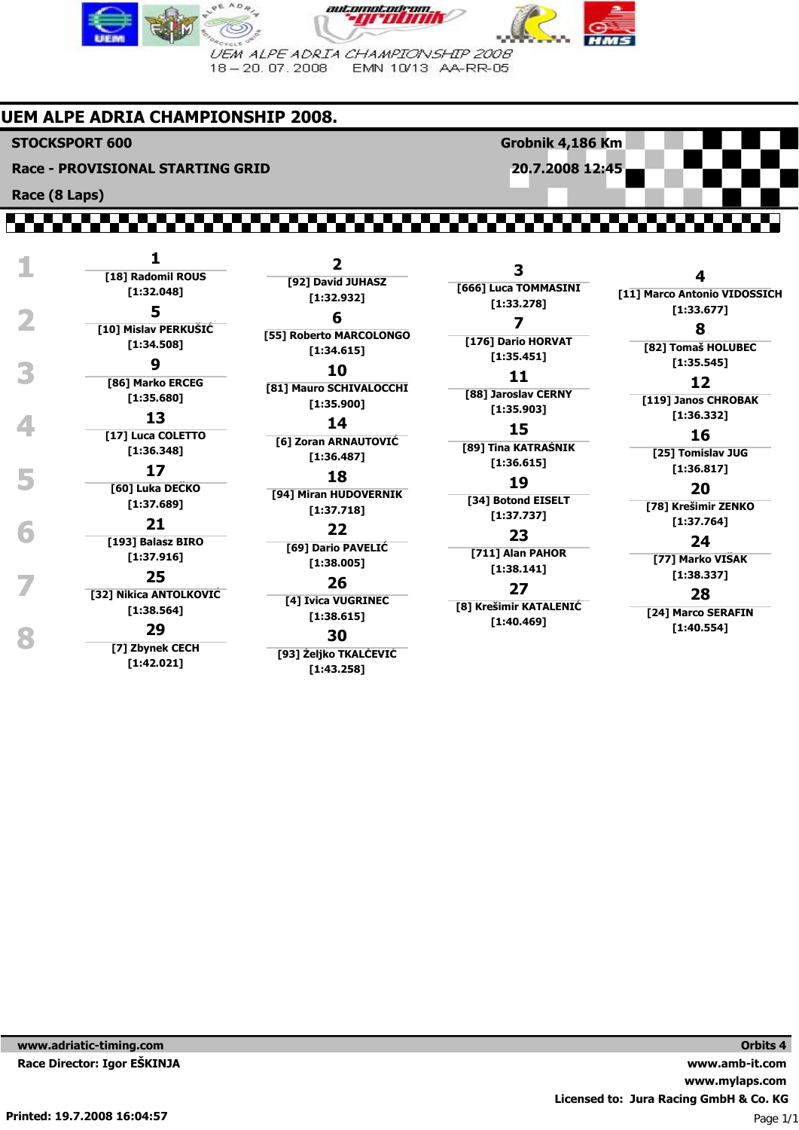

# **UEM ALPE ADRIA CHAMPIONSHIP 2008.**

**STOCKSPORT 600**

**Race - PROVISIONAL STARTING GRID**

**Race (8 Laps)**

 **1 <sup>1</sup> [18] Radomil ROUS [1:32.048]** External of the state of the state of the state of the state of the state of the state of the state of the state of the state of the state of the state of the state of the state of the state of the state of the state of th **[10] Mislav PERKUŠIĆ [1:34.508] 9 10 11 11 12 11 12 11 12 [86] Marko ERCEG [1:35.680] 13 14 15 1:36.332] 16 17]** Luca COLETTO **16 15 16 16 [17] Luca COLETTO [1:36.348] 17 18 19 11 1136.817 119 111 111 111 111 111 111 111 111 111 111 111 111 111 111 111 111 111 111 111 111 111 111 111 111 111 111 111 111 111 111 111 [60] Luka DEČKO 18 [1:37.689] 1.**:37.764] **1:37.764**<br> **1:37.764**<br> **1:37.764**<br> **1:37.764 [193] Balasz BIRO [1:37.916] 1.** 1.38.337]<br> **1.38.337]**<br> **1.38.337]**<br> **1.38.337]**<br> **28 [32] Nikica ANTOLKOVIĆ [1:38.564] [1:40.554] 8 <sup>29</sup> [7] Zbynek CECH [1:42.021]**

**2 [92] David JUHASZ [1:32.932] 6 [55] Roberto MARCOLONGO [1:34.615] 10 [81] Mauro SCHIVALOCCHI [1:35.900] 14 [6] Zoran ARNAUTOVIĆ [1:36.487] [94] Miran HUDOVERNIK [1:37.718] 22 [69] Dario PAVELIĆ [1:38.005] 26 [4] Ivica VUGRINEC [1:38.615] 30**

**[93] Željko TKALČEVIĆ [1:43.258]**

**3 [666] Luca TOMMASINI [1:33.278] 7 [176] Dario HORVAT [1:35.451] 11 [88] Jaroslav CERNY [1:35.903] 15 [89] Tina KATRAŠNIK [1:36.615] 19 [34] Botond EISELT**

**Grobnik 4,186 Km 20.7.2008 12:45**

**[1:37.737] 23 [711] Alan PAHOR**

**[1:38.141] 27**

**[8] Krešimir KATALENIĆ [1:40.469]**

**4 [11] Marco Antonio VIDOSSICH**

**8 [82] Tomaš HOLUBEC**

# **12**

**[119] Janos CHROBAK**

## **16**

**[25] Tomislav JUG**

# **20**

**[78] Krešimir ZENKO**

#### **24**

**[77] Marko VIŠAK**

### **28**

**[24] Marco SERAFIN**

**www.adriatic-timing.com Race Director: Igor EŠKINJA**